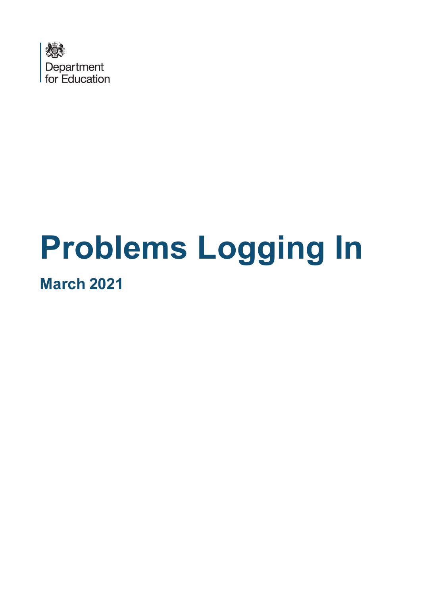

# Problems Logging In March 2021